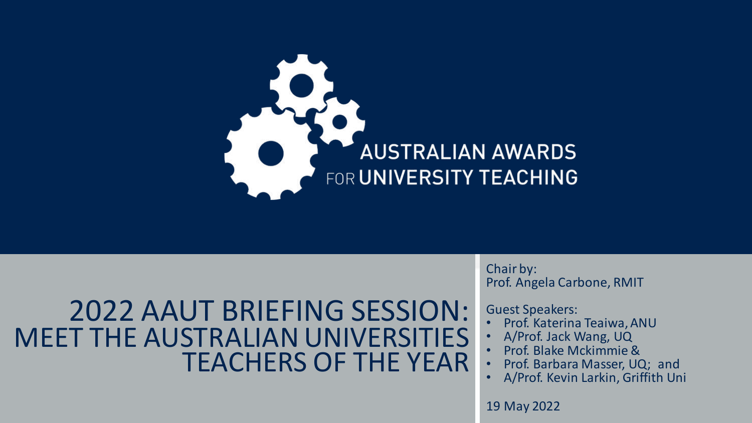

### 2022 AAUT BRIEFING SESSION: MEET THE AUSTRALIAN UNIVERSITIES TEACHERS OF THE YEAR

Chair by: Prof. Angela Carbone, RMIT

Guest Speakers:

- Prof. Katerina Teaiwa,ANU
- A/Prof. Jack Wang, UQ
- Prof. Blake Mckimmie &
- Prof. Barbara Masser, UQ; and
- A/Prof. Kevin Larkin, Griffith Uni

19 May 2022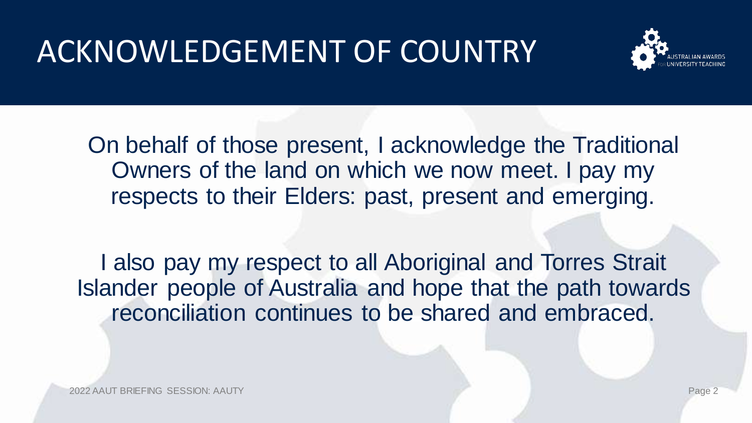# ACKNOWLEDGEMENT OF COUNTRY



On behalf of those present, I acknowledge the Traditional Owners of the land on which we now meet. I pay my respects to their Elders: past, present and emerging.

I also pay my respect to all Aboriginal and Torres Strait Islander people of Australia and hope that the path towards reconciliation continues to be shared and embraced.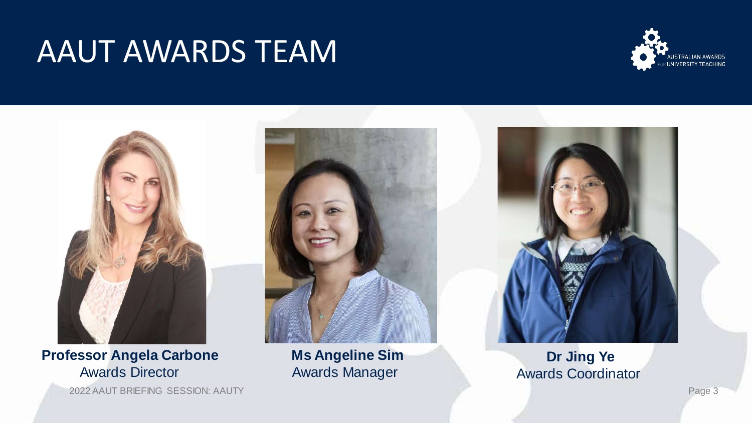## AAUT AWARDS TEAM





### **Professor Angela Carbone** Awards Director

2022 AAUT BRIEFING SESSION: AAUTY Page 3



**Ms Angeline Sim** Awards Manager



### **Dr Jing Ye** Awards Coordinator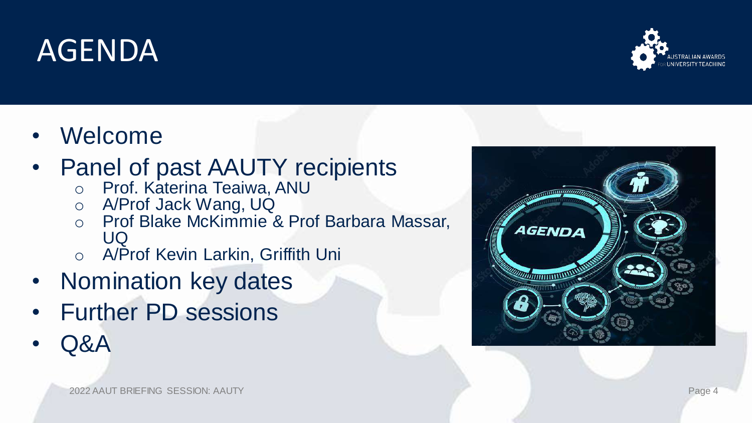# AGENDA

• Welcome

### • Panel of past AAUTY recipients

- o Prof. Katerina Teaiwa, ANU
- o A/Prof Jack Wang, UQ
- o Prof Blake McKimmie & Prof Barbara Massar, UQ
- o A/Prof Kevin Larkin, Griffith Uni
- Nomination key dates
- Further PD sessions
- Q&A



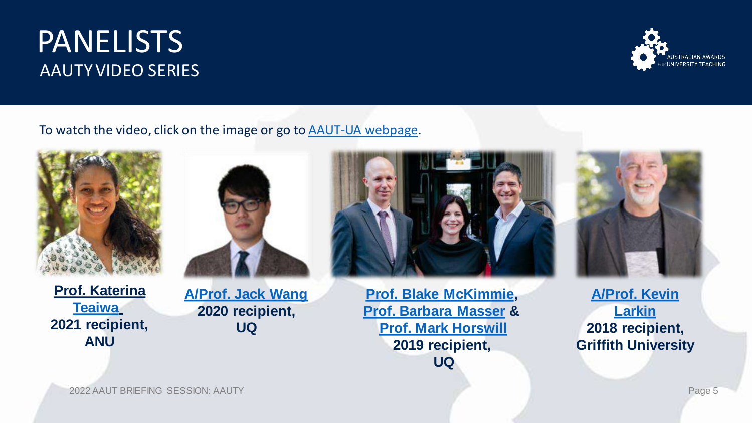### PANELISTS AAUTY VIDEO SERIES



To watch the video, click on the image or go to [AAUT-UA webpage.](https://www.universitiesaustralia.edu.au/policy-submissions/teaching-learning-funding/australian-awards-for-university-teaching/)



**[Prof. Katerina](https://researchprofiles.anu.edu.au/en/persons/katerina-teaiwa)  [Teaiwa](https://researchprofiles.anu.edu.au/en/persons/katerina-teaiwa) 2021 recipient, ANU**



**[A/Prof. Jack Wang](https://scmb.uq.edu.au/profile/735/jack-wang) 2020 recipient, UQ**



**[Prof. Blake McKimmie,](https://psychology.uq.edu.au/profile/2212/blake-mckimmie) [Prof. Barbara Masser](https://researchers.uq.edu.au/researcher/654) & [Prof. Mark Horswill](https://psychology.uq.edu.au/profile/2434/mark-horswill) 2019 recipient, UQ**



**[A/Prof. Kevin](https://experts.griffith.edu.au/8637-kevin-larkin)  Larkin 2018 recipient, Griffith University**

2022 AAUT BRIEFING SESSION: AAUTY Page 5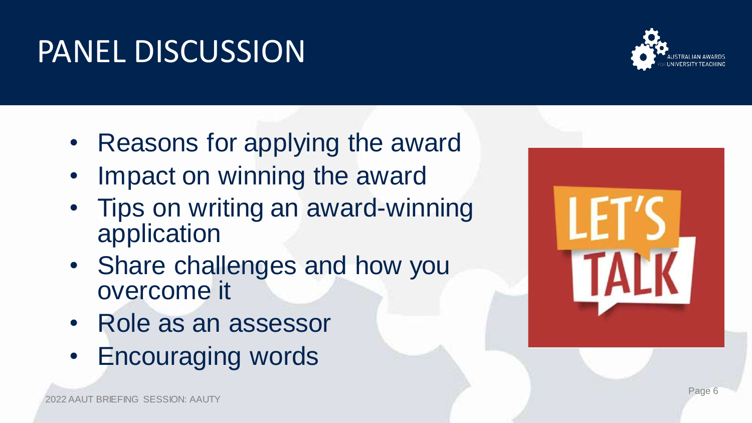PANEL DISCUSSION

- Reasons for applying the award
- Impact on winning the award
- Tips on writing an award-winning application
- Share challenges and how you overcome it
- Role as an assessor
- Encouraging words



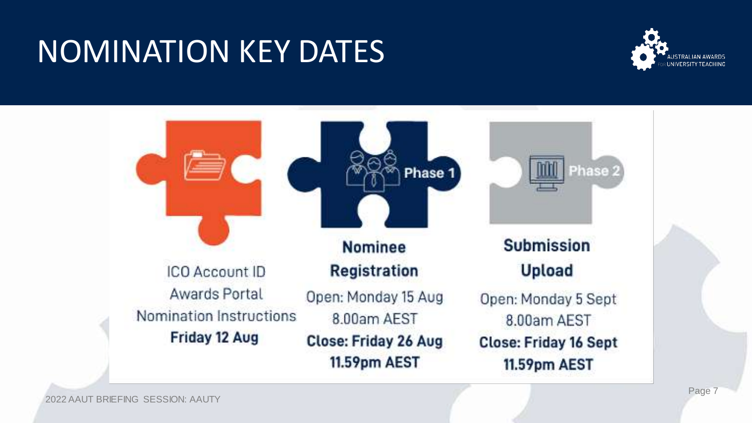# NOMINATION KEY DATES



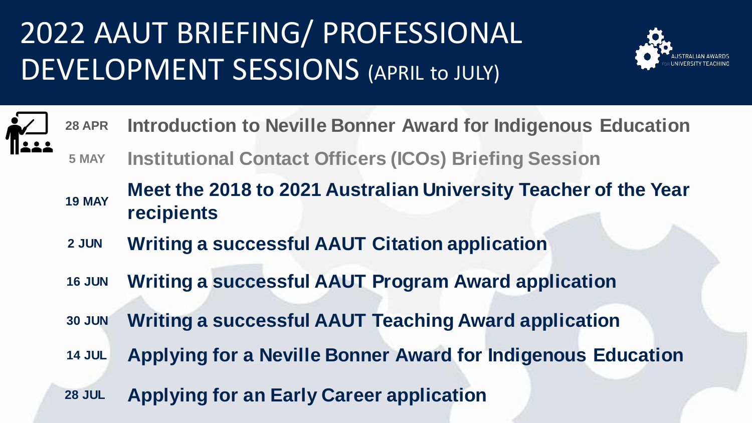# 2022 AAUT BRIEFING/ PROFESSIONAL DEVELOPMENT SESSIONS (APRIL to JULY)



- **28 APR Introduction to Neville Bonner Award for Indigenous Education**
	- **5 MAY Institutional Contact Officers (ICOs) Briefing Session**
	- **19 MAY Meet the 2018 to 2021 Australian University Teacher of the Year recipients**
	- **2 JUN Writing a successful AAUT Citation application**
	- **16 JUN Writing a successful AAUT Program Award application**
	- **30 JUN Writing a successful AAUT Teaching Award application**
	- **14 JUL Applying for a Neville Bonner Award for Indigenous Education**
	- **28 JUL Applying for an Early Career application**